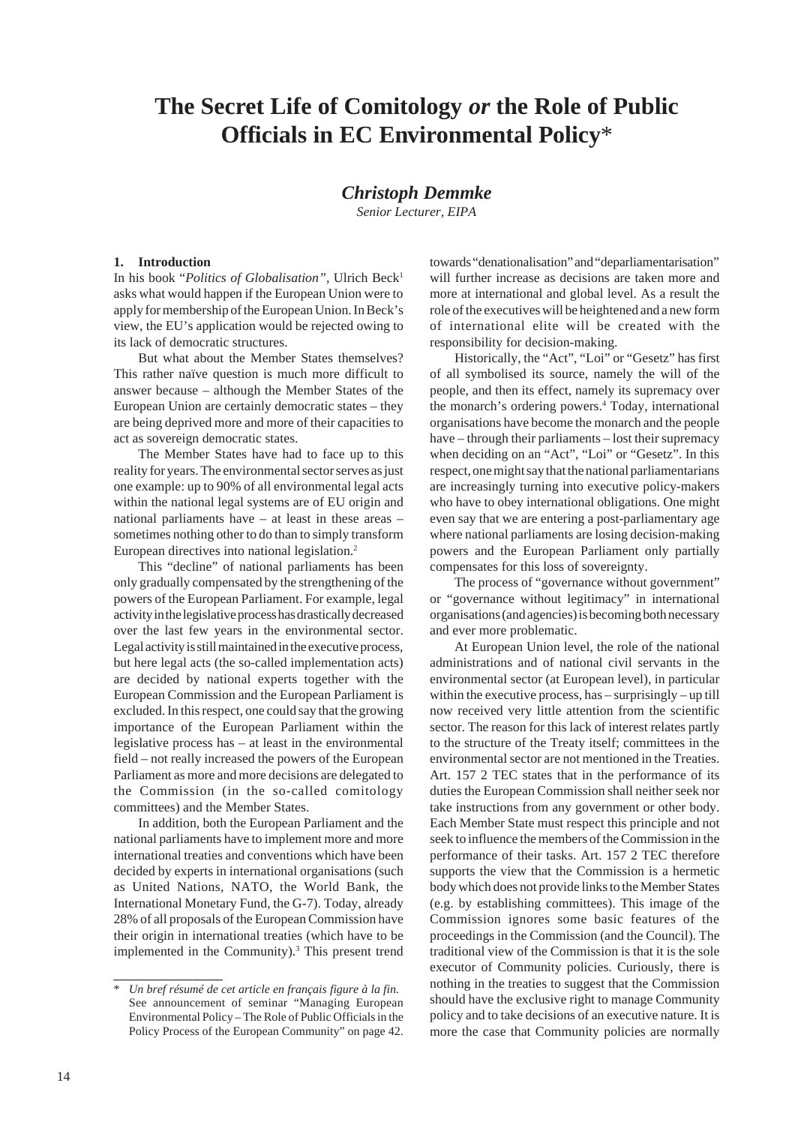# **The Secret Life of Comitology** *or* **the Role of Public Officials in EC Environmental Policy**\*

## *Christoph Demmke*

*Senior Lecturer, EIPA*

#### **1. Introduction**

In his book "Politics of Globalisation", Ulrich Beck<sup>1</sup> asks what would happen if the European Union were to apply for membership of the European Union. In Beck's view, the EU's application would be rejected owing to its lack of democratic structures.

But what about the Member States themselves? This rather naïve question is much more difficult to answer because – although the Member States of the European Union are certainly democratic states – they are being deprived more and more of their capacities to act as sovereign democratic states.

The Member States have had to face up to this reality for years. The environmental sector serves as just one example: up to 90% of all environmental legal acts within the national legal systems are of EU origin and national parliaments have – at least in these areas – sometimes nothing other to do than to simply transform European directives into national legislation.2

This "decline" of national parliaments has been only gradually compensated by the strengthening of the powers of the European Parliament. For example, legal activity in the legislative process has drastically decreased over the last few years in the environmental sector. Legal activity is still maintained in the executive process, but here legal acts (the so-called implementation acts) are decided by national experts together with the European Commission and the European Parliament is excluded. In this respect, one could say that the growing importance of the European Parliament within the legislative process has – at least in the environmental field – not really increased the powers of the European Parliament as more and more decisions are delegated to the Commission (in the so-called comitology committees) and the Member States.

In addition, both the European Parliament and the national parliaments have to implement more and more international treaties and conventions which have been decided by experts in international organisations (such as United Nations, NATO, the World Bank, the International Monetary Fund, the G-7). Today, already 28% of all proposals of the European Commission have their origin in international treaties (which have to be implemented in the Community).<sup>3</sup> This present trend

**\_\_\_\_\_\_\_\_\_\_\_\_\_\_\_\_\_\_**

towards "denationalisation" and "deparliamentarisation" will further increase as decisions are taken more and more at international and global level. As a result the role of the executives will be heightened and a new form of international elite will be created with the responsibility for decision-making.

Historically, the "Act", "Loi" or "Gesetz" has first of all symbolised its source, namely the will of the people, and then its effect, namely its supremacy over the monarch's ordering powers.4 Today, international organisations have become the monarch and the people have – through their parliaments – lost their supremacy when deciding on an "Act", "Loi" or "Gesetz". In this respect, one might say that the national parliamentarians are increasingly turning into executive policy-makers who have to obey international obligations. One might even say that we are entering a post-parliamentary age where national parliaments are losing decision-making powers and the European Parliament only partially compensates for this loss of sovereignty.

The process of "governance without government" or "governance without legitimacy" in international organisations (and agencies) is becoming both necessary and ever more problematic.

At European Union level, the role of the national administrations and of national civil servants in the environmental sector (at European level), in particular within the executive process, has – surprisingly – up till now received very little attention from the scientific sector. The reason for this lack of interest relates partly to the structure of the Treaty itself; committees in the environmental sector are not mentioned in the Treaties. Art. 157 2 TEC states that in the performance of its duties the European Commission shall neither seek nor take instructions from any government or other body. Each Member State must respect this principle and not seek to influence the members of the Commission in the performance of their tasks. Art. 157 2 TEC therefore supports the view that the Commission is a hermetic body which does not provide links to the Member States (e.g. by establishing committees). This image of the Commission ignores some basic features of the proceedings in the Commission (and the Council). The traditional view of the Commission is that it is the sole executor of Community policies. Curiously, there is nothing in the treaties to suggest that the Commission should have the exclusive right to manage Community policy and to take decisions of an executive nature. It is more the case that Community policies are normally

<sup>\*</sup> *Un bref résumé de cet article en français figure à la fin.* See announcement of seminar "Managing European Environmental Policy – The Role of Public Officials in the Policy Process of the European Community" on page 42.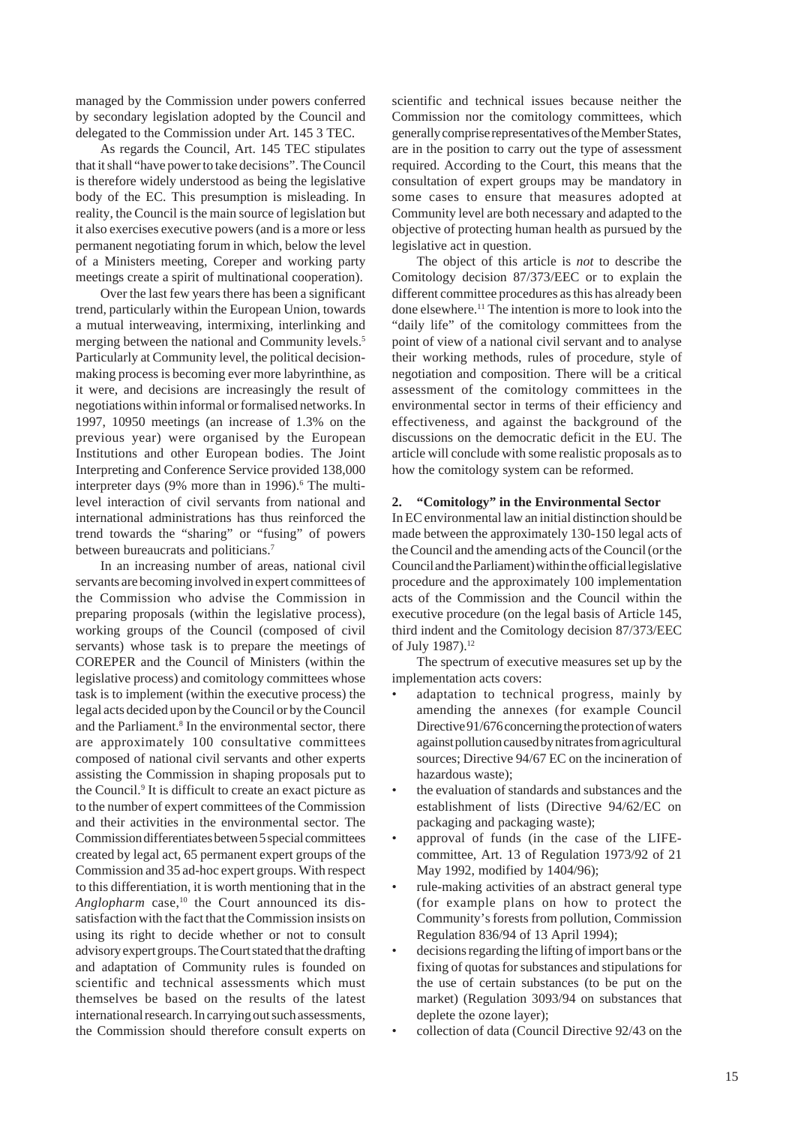managed by the Commission under powers conferred by secondary legislation adopted by the Council and delegated to the Commission under Art. 145 3 TEC.

As regards the Council, Art. 145 TEC stipulates that it shall "have power to take decisions". The Council is therefore widely understood as being the legislative body of the EC. This presumption is misleading. In reality, the Council is the main source of legislation but it also exercises executive powers (and is a more or less permanent negotiating forum in which, below the level of a Ministers meeting, Coreper and working party meetings create a spirit of multinational cooperation).

Over the last few years there has been a significant trend, particularly within the European Union, towards a mutual interweaving, intermixing, interlinking and merging between the national and Community levels.<sup>5</sup> Particularly at Community level, the political decisionmaking process is becoming ever more labyrinthine, as it were, and decisions are increasingly the result of negotiations within informal or formalised networks. In 1997, 10950 meetings (an increase of 1.3% on the previous year) were organised by the European Institutions and other European bodies. The Joint Interpreting and Conference Service provided 138,000 interpreter days (9% more than in 1996).<sup>6</sup> The multilevel interaction of civil servants from national and international administrations has thus reinforced the trend towards the "sharing" or "fusing" of powers between bureaucrats and politicians.<sup>7</sup>

In an increasing number of areas, national civil servants are becoming involved in expert committees of the Commission who advise the Commission in preparing proposals (within the legislative process), working groups of the Council (composed of civil servants) whose task is to prepare the meetings of COREPER and the Council of Ministers (within the legislative process) and comitology committees whose task is to implement (within the executive process) the legal acts decided upon by the Council or by the Council and the Parliament.<sup>8</sup> In the environmental sector, there are approximately 100 consultative committees composed of national civil servants and other experts assisting the Commission in shaping proposals put to the Council.<sup>9</sup> It is difficult to create an exact picture as to the number of expert committees of the Commission and their activities in the environmental sector. The Commission differentiates between 5 special committees created by legal act, 65 permanent expert groups of the Commission and 35 ad-hoc expert groups. With respect to this differentiation, it is worth mentioning that in the *Anglopharm* case,<sup>10</sup> the Court announced its dissatisfaction with the fact that the Commission insists on using its right to decide whether or not to consult advisory expert groups. The Court stated that the drafting and adaptation of Community rules is founded on scientific and technical assessments which must themselves be based on the results of the latest international research. In carrying out such assessments, the Commission should therefore consult experts on

scientific and technical issues because neither the Commission nor the comitology committees, which generally comprise representatives of the Member States, are in the position to carry out the type of assessment required. According to the Court, this means that the consultation of expert groups may be mandatory in some cases to ensure that measures adopted at Community level are both necessary and adapted to the objective of protecting human health as pursued by the legislative act in question.

The object of this article is *not* to describe the Comitology decision 87/373/EEC or to explain the different committee procedures as this has already been done elsewhere.<sup>11</sup> The intention is more to look into the "daily life" of the comitology committees from the point of view of a national civil servant and to analyse their working methods, rules of procedure, style of negotiation and composition. There will be a critical assessment of the comitology committees in the environmental sector in terms of their efficiency and effectiveness, and against the background of the discussions on the democratic deficit in the EU. The article will conclude with some realistic proposals as to how the comitology system can be reformed.

#### **2. "Comitology" in the Environmental Sector**

In EC environmental law an initial distinction should be made between the approximately 130-150 legal acts of the Council and the amending acts of the Council (or the Council and the Parliament) within the official legislative procedure and the approximately 100 implementation acts of the Commission and the Council within the executive procedure (on the legal basis of Article 145, third indent and the Comitology decision 87/373/EEC of July 1987).<sup>12</sup>

The spectrum of executive measures set up by the implementation acts covers:

- adaptation to technical progress, mainly by amending the annexes (for example Council Directive 91/676 concerning the protection of waters against pollution caused by nitrates from agricultural sources; Directive 94/67 EC on the incineration of hazardous waste);
- the evaluation of standards and substances and the establishment of lists (Directive 94/62/EC on packaging and packaging waste);
- approval of funds (in the case of the LIFEcommittee, Art. 13 of Regulation 1973/92 of 21 May 1992, modified by 1404/96);
- rule-making activities of an abstract general type (for example plans on how to protect the Community's forests from pollution, Commission Regulation 836/94 of 13 April 1994);
- decisions regarding the lifting of import bans or the fixing of quotas for substances and stipulations for the use of certain substances (to be put on the market) (Regulation 3093/94 on substances that deplete the ozone layer);
- collection of data (Council Directive 92/43 on the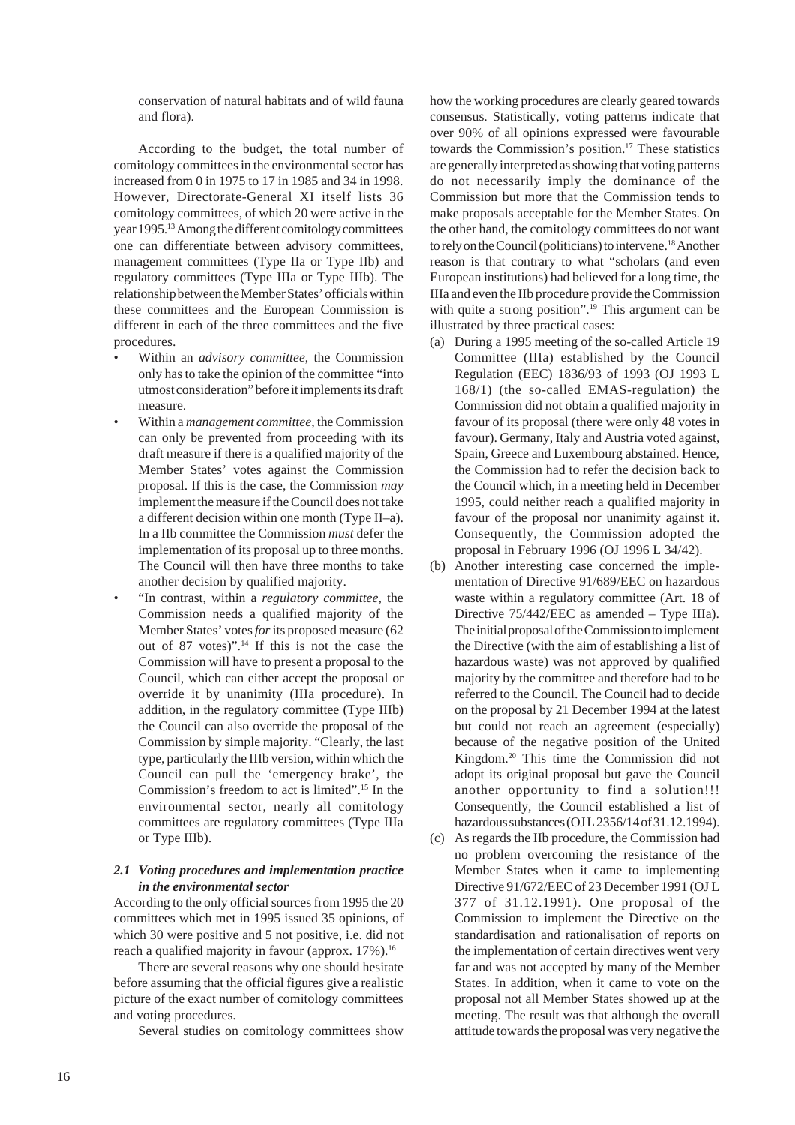conservation of natural habitats and of wild fauna and flora).

According to the budget, the total number of comitology committees in the environmental sector has increased from 0 in 1975 to 17 in 1985 and 34 in 1998. However, Directorate-General XI itself lists 36 comitology committees, of which 20 were active in the year 1995.13 Among the different comitology committees one can differentiate between advisory committees, management committees (Type IIa or Type IIb) and regulatory committees (Type IIIa or Type IIIb). The relationship between the Member States' officials within these committees and the European Commission is different in each of the three committees and the five procedures.

- Within an *advisory committee*, the Commission only has to take the opinion of the committee "into utmost consideration" before it implements its draft measure.
- Within a *management committee*, the Commission can only be prevented from proceeding with its draft measure if there is a qualified majority of the Member States' votes against the Commission proposal. If this is the case, the Commission *may* implement the measure if the Council does not take a different decision within one month (Type II–a). In a IIb committee the Commission *must* defer the implementation of its proposal up to three months. The Council will then have three months to take another decision by qualified majority.
- "In contrast, within a *regulatory committee*, the Commission needs a qualified majority of the Member States' votes *for* its proposed measure (62 out of 87 votes)".14 If this is not the case the Commission will have to present a proposal to the Council, which can either accept the proposal or override it by unanimity (IIIa procedure). In addition, in the regulatory committee (Type IIIb) the Council can also override the proposal of the Commission by simple majority. "Clearly, the last type, particularly the IIIb version, within which the Council can pull the 'emergency brake', the Commission's freedom to act is limited".15 In the environmental sector, nearly all comitology committees are regulatory committees (Type IIIa or Type IIIb).

## *2.1 Voting procedures and implementation practice in the environmental sector*

According to the only official sources from 1995 the 20 committees which met in 1995 issued 35 opinions, of which 30 were positive and 5 not positive, i.e. did not reach a qualified majority in favour (approx. 17%).<sup>16</sup>

There are several reasons why one should hesitate before assuming that the official figures give a realistic picture of the exact number of comitology committees and voting procedures.

Several studies on comitology committees show

how the working procedures are clearly geared towards consensus. Statistically, voting patterns indicate that over 90% of all opinions expressed were favourable towards the Commission's position.17 These statistics are generally interpreted as showing that voting patterns do not necessarily imply the dominance of the Commission but more that the Commission tends to make proposals acceptable for the Member States. On the other hand, the comitology committees do not want to rely on the Council (politicians) to intervene.18 Another reason is that contrary to what "scholars (and even European institutions) had believed for a long time, the IIIa and even the IIb procedure provide the Commission with quite a strong position".<sup>19</sup> This argument can be illustrated by three practical cases:

- (a) During a 1995 meeting of the so-called Article 19 Committee (IIIa) established by the Council Regulation (EEC) 1836/93 of 1993 (OJ 1993 L 168/1) (the so-called EMAS-regulation) the Commission did not obtain a qualified majority in favour of its proposal (there were only 48 votes in favour). Germany, Italy and Austria voted against, Spain, Greece and Luxembourg abstained. Hence, the Commission had to refer the decision back to the Council which, in a meeting held in December 1995, could neither reach a qualified majority in favour of the proposal nor unanimity against it. Consequently, the Commission adopted the proposal in February 1996 (OJ 1996 L 34/42).
- (b) Another interesting case concerned the implementation of Directive 91/689/EEC on hazardous waste within a regulatory committee (Art. 18 of Directive 75/442/EEC as amended – Type IIIa). The initial proposal of the Commission to implement the Directive (with the aim of establishing a list of hazardous waste) was not approved by qualified majority by the committee and therefore had to be referred to the Council. The Council had to decide on the proposal by 21 December 1994 at the latest but could not reach an agreement (especially) because of the negative position of the United Kingdom.20 This time the Commission did not adopt its original proposal but gave the Council another opportunity to find a solution!!! Consequently, the Council established a list of hazardous substances (OJ L 2356/14 of 31.12.1994).
- (c) As regards the IIb procedure, the Commission had no problem overcoming the resistance of the Member States when it came to implementing Directive 91/672/EEC of 23 December 1991 (OJ L 377 of 31.12.1991). One proposal of the Commission to implement the Directive on the standardisation and rationalisation of reports on the implementation of certain directives went very far and was not accepted by many of the Member States. In addition, when it came to vote on the proposal not all Member States showed up at the meeting. The result was that although the overall attitude towards the proposal was very negative the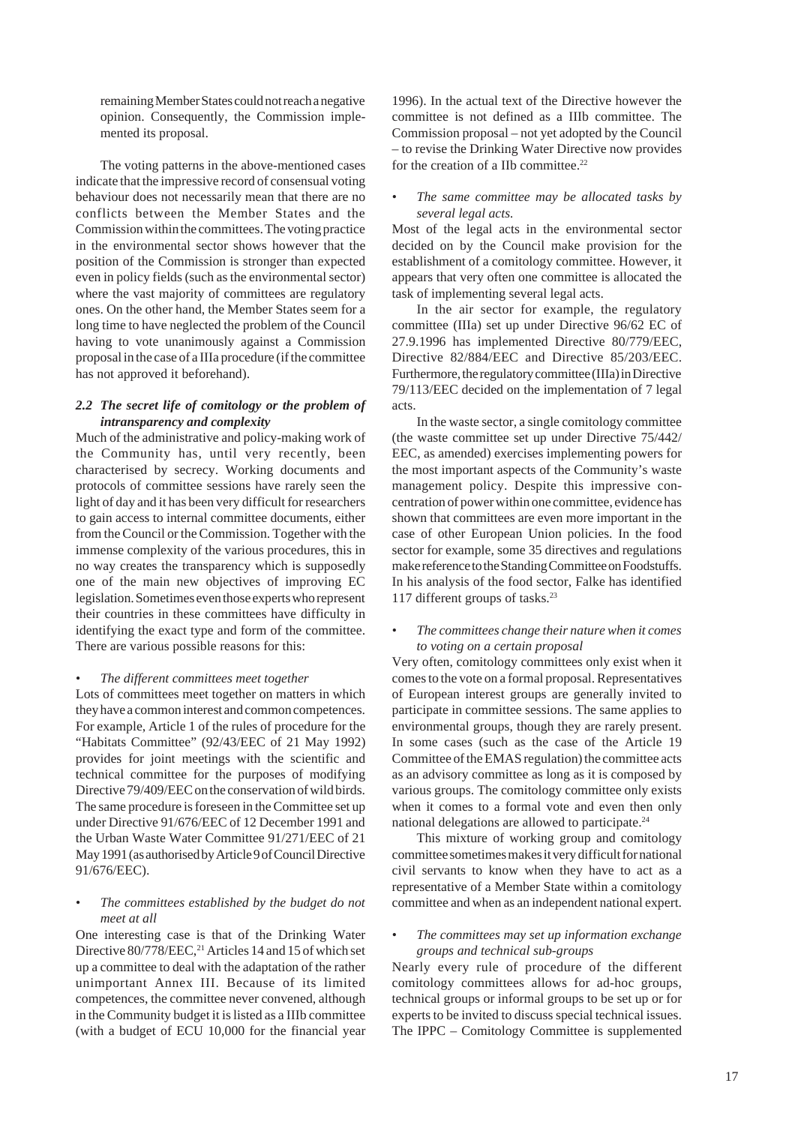remaining Member States could not reach a negative opinion. Consequently, the Commission implemented its proposal.

The voting patterns in the above-mentioned cases indicate that the impressive record of consensual voting behaviour does not necessarily mean that there are no conflicts between the Member States and the Commission within the committees. The voting practice in the environmental sector shows however that the position of the Commission is stronger than expected even in policy fields (such as the environmental sector) where the vast majority of committees are regulatory ones. On the other hand, the Member States seem for a long time to have neglected the problem of the Council having to vote unanimously against a Commission proposal in the case of a IIIa procedure (if the committee has not approved it beforehand).

## *2.2 The secret life of comitology or the problem of intransparency and complexity*

Much of the administrative and policy-making work of the Community has, until very recently, been characterised by secrecy. Working documents and protocols of committee sessions have rarely seen the light of day and it has been very difficult for researchers to gain access to internal committee documents, either from the Council or the Commission. Together with the immense complexity of the various procedures, this in no way creates the transparency which is supposedly one of the main new objectives of improving EC legislation. Sometimes even those experts who represent their countries in these committees have difficulty in identifying the exact type and form of the committee. There are various possible reasons for this:

#### *• The different committees meet together*

Lots of committees meet together on matters in which they have a common interest and common competences. For example, Article 1 of the rules of procedure for the "Habitats Committee" (92/43/EEC of 21 May 1992) provides for joint meetings with the scientific and technical committee for the purposes of modifying Directive 79/409/EEC on the conservation of wild birds. The same procedure is foreseen in the Committee set up under Directive 91/676/EEC of 12 December 1991 and the Urban Waste Water Committee 91/271/EEC of 21 May 1991 (as authorised by Article 9 of Council Directive 91/676/EEC).

#### *• The committees established by the budget do not meet at all*

One interesting case is that of the Drinking Water Directive 80/778/EEC,<sup>21</sup> Articles 14 and 15 of which set up a committee to deal with the adaptation of the rather unimportant Annex III. Because of its limited competences, the committee never convened, although in the Community budget it is listed as a IIIb committee (with a budget of ECU 10,000 for the financial year

1996). In the actual text of the Directive however the committee is not defined as a IIIb committee. The Commission proposal – not yet adopted by the Council – to revise the Drinking Water Directive now provides for the creation of a IIb committee.22

#### *• The same committee may be allocated tasks by several legal acts.*

Most of the legal acts in the environmental sector decided on by the Council make provision for the establishment of a comitology committee. However, it appears that very often one committee is allocated the task of implementing several legal acts.

In the air sector for example, the regulatory committee (IIIa) set up under Directive 96/62 EC of 27.9.1996 has implemented Directive 80/779/EEC, Directive 82/884/EEC and Directive 85/203/EEC. Furthermore, the regulatory committee (IIIa) in Directive 79/113/EEC decided on the implementation of 7 legal acts.

In the waste sector, a single comitology committee (the waste committee set up under Directive 75/442/ EEC, as amended) exercises implementing powers for the most important aspects of the Community's waste management policy. Despite this impressive concentration of power within one committee, evidence has shown that committees are even more important in the case of other European Union policies. In the food sector for example, some 35 directives and regulations make reference to the Standing Committee on Foodstuffs. In his analysis of the food sector, Falke has identified 117 different groups of tasks.23

#### *• The committees change their nature when it comes to voting on a certain proposal*

Very often, comitology committees only exist when it comes to the vote on a formal proposal. Representatives of European interest groups are generally invited to participate in committee sessions. The same applies to environmental groups, though they are rarely present. In some cases (such as the case of the Article 19 Committee of the EMAS regulation) the committee acts as an advisory committee as long as it is composed by various groups. The comitology committee only exists when it comes to a formal vote and even then only national delegations are allowed to participate.<sup>24</sup>

This mixture of working group and comitology committee sometimes makes it very difficult for national civil servants to know when they have to act as a representative of a Member State within a comitology committee and when as an independent national expert.

#### *• The committees may set up information exchange groups and technical sub-groups*

Nearly every rule of procedure of the different comitology committees allows for ad-hoc groups, technical groups or informal groups to be set up or for experts to be invited to discuss special technical issues. The IPPC – Comitology Committee is supplemented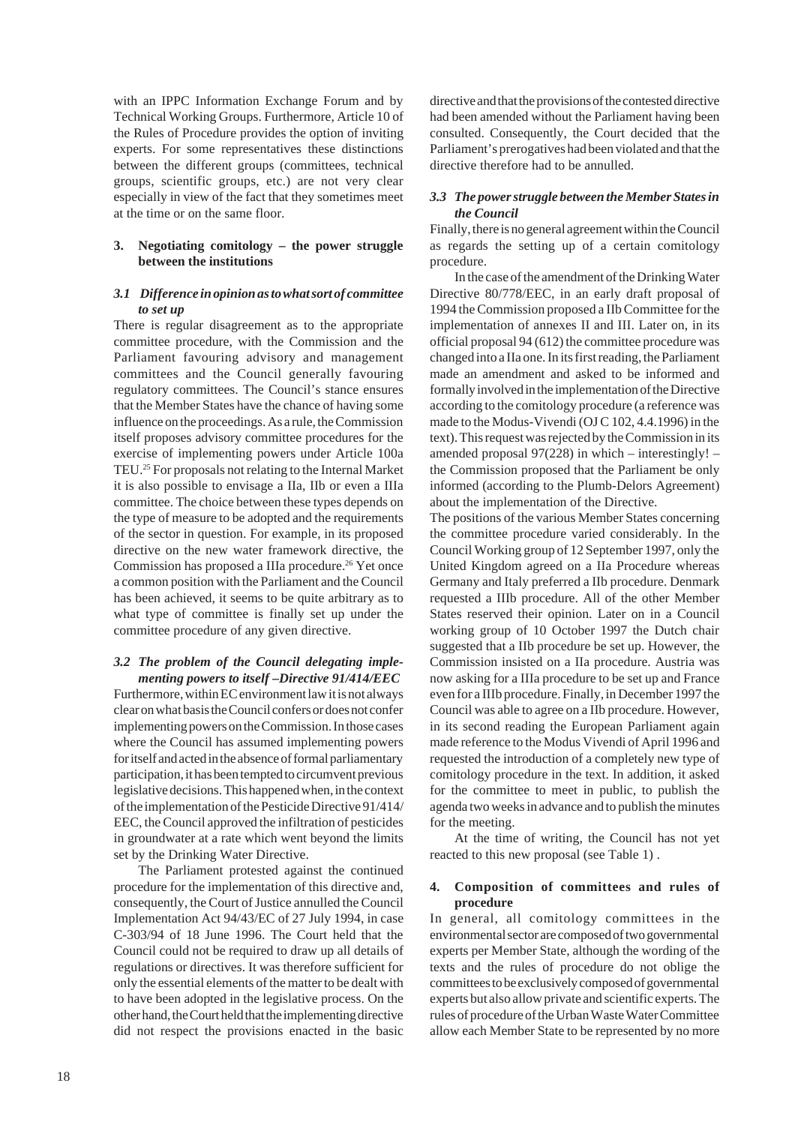with an IPPC Information Exchange Forum and by Technical Working Groups. Furthermore, Article 10 of the Rules of Procedure provides the option of inviting experts. For some representatives these distinctions between the different groups (committees, technical groups, scientific groups, etc.) are not very clear especially in view of the fact that they sometimes meet at the time or on the same floor.

## **3. Negotiating comitology – the power struggle between the institutions**

#### *3.1 Difference in opinion as to what sort of committee to set up*

There is regular disagreement as to the appropriate committee procedure, with the Commission and the Parliament favouring advisory and management committees and the Council generally favouring regulatory committees. The Council's stance ensures that the Member States have the chance of having some influence on the proceedings. As a rule, the Commission itself proposes advisory committee procedures for the exercise of implementing powers under Article 100a TEU.25 For proposals not relating to the Internal Market it is also possible to envisage a IIa, IIb or even a IIIa committee. The choice between these types depends on the type of measure to be adopted and the requirements of the sector in question. For example, in its proposed directive on the new water framework directive, the Commission has proposed a IIIa procedure.<sup>26</sup> Yet once a common position with the Parliament and the Council has been achieved, it seems to be quite arbitrary as to what type of committee is finally set up under the committee procedure of any given directive.

## *3.2 The problem of the Council delegating implementing powers to itself –Directive 91/414/EEC*

Furthermore, within EC environment law it is not always clear on what basis the Council confers or does not confer implementing powers on the Commission. In those cases where the Council has assumed implementing powers for itself and acted in the absence of formal parliamentary participation, it has been tempted to circumvent previous legislative decisions. This happened when, in the context of the implementation of the Pesticide Directive 91/414/ EEC, the Council approved the infiltration of pesticides in groundwater at a rate which went beyond the limits set by the Drinking Water Directive.

The Parliament protested against the continued procedure for the implementation of this directive and, consequently, the Court of Justice annulled the Council Implementation Act 94/43/EC of 27 July 1994, in case C-303/94 of 18 June 1996. The Court held that the Council could not be required to draw up all details of regulations or directives. It was therefore sufficient for only the essential elements of the matter to be dealt with to have been adopted in the legislative process. On the other hand, the Court held that the implementing directive did not respect the provisions enacted in the basic

directive and that the provisions of the contested directive had been amended without the Parliament having been consulted. Consequently, the Court decided that the Parliament's prerogatives had been violated and that the directive therefore had to be annulled.

## *3.3 The power struggle between the Member States in the Council*

Finally, there is no general agreement within the Council as regards the setting up of a certain comitology procedure.

In the case of the amendment of the Drinking Water Directive 80/778/EEC, in an early draft proposal of 1994 the Commission proposed a IIb Committee for the implementation of annexes II and III. Later on, in its official proposal 94 (612) the committee procedure was changed into a IIa one. In its first reading, the Parliament made an amendment and asked to be informed and formally involved in the implementation of the Directive according to the comitology procedure (a reference was made to the Modus-Vivendi (OJ C 102, 4.4.1996) in the text). This request was rejected by the Commission in its amended proposal 97(228) in which – interestingly! – the Commission proposed that the Parliament be only informed (according to the Plumb-Delors Agreement) about the implementation of the Directive.

The positions of the various Member States concerning the committee procedure varied considerably. In the Council Working group of 12 September 1997, only the United Kingdom agreed on a IIa Procedure whereas Germany and Italy preferred a IIb procedure. Denmark requested a IIIb procedure. All of the other Member States reserved their opinion. Later on in a Council working group of 10 October 1997 the Dutch chair suggested that a IIb procedure be set up. However, the Commission insisted on a IIa procedure. Austria was now asking for a IIIa procedure to be set up and France even for a IIIb procedure. Finally, in December 1997 the Council was able to agree on a IIb procedure. However, in its second reading the European Parliament again made reference to the Modus Vivendi of April 1996 and requested the introduction of a completely new type of comitology procedure in the text. In addition, it asked for the committee to meet in public, to publish the agenda two weeks in advance and to publish the minutes for the meeting.

At the time of writing, the Council has not yet reacted to this new proposal (see Table 1) .

## **4. Composition of committees and rules of procedure**

In general, all comitology committees in the environmental sector are composed of two governmental experts per Member State, although the wording of the texts and the rules of procedure do not oblige the committees to be exclusively composed of governmental experts but also allow private and scientific experts. The rules of procedure of the Urban Waste Water Committee allow each Member State to be represented by no more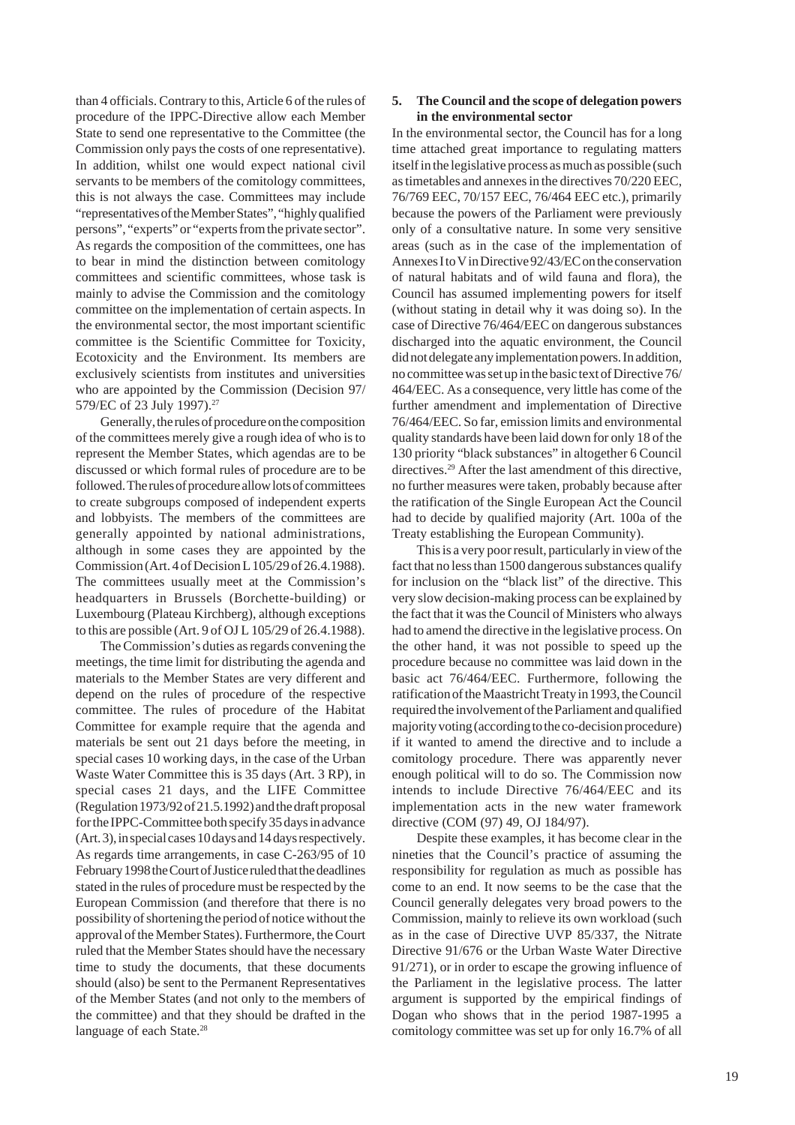than 4 officials. Contrary to this, Article 6 of the rules of procedure of the IPPC-Directive allow each Member State to send one representative to the Committee (the Commission only pays the costs of one representative). In addition, whilst one would expect national civil servants to be members of the comitology committees, this is not always the case. Committees may include "representatives of the Member States", "highly qualified persons", "experts" or "experts from the private sector". As regards the composition of the committees, one has to bear in mind the distinction between comitology committees and scientific committees, whose task is mainly to advise the Commission and the comitology committee on the implementation of certain aspects. In the environmental sector, the most important scientific committee is the Scientific Committee for Toxicity, Ecotoxicity and the Environment. Its members are exclusively scientists from institutes and universities who are appointed by the Commission (Decision 97/ 579/EC of 23 July 1997).<sup>27</sup>

Generally, the rules of procedure on the composition of the committees merely give a rough idea of who is to represent the Member States, which agendas are to be discussed or which formal rules of procedure are to be followed. The rules of procedure allow lots of committees to create subgroups composed of independent experts and lobbyists. The members of the committees are generally appointed by national administrations, although in some cases they are appointed by the Commission (Art. 4 of Decision L 105/29 of 26.4.1988). The committees usually meet at the Commission's headquarters in Brussels (Borchette-building) or Luxembourg (Plateau Kirchberg), although exceptions to this are possible (Art. 9 of OJ L 105/29 of 26.4.1988).

The Commission's duties as regards convening the meetings, the time limit for distributing the agenda and materials to the Member States are very different and depend on the rules of procedure of the respective committee. The rules of procedure of the Habitat Committee for example require that the agenda and materials be sent out 21 days before the meeting, in special cases 10 working days, in the case of the Urban Waste Water Committee this is 35 days (Art. 3 RP), in special cases 21 days, and the LIFE Committee (Regulation 1973/92 of 21.5.1992) and the draft proposal for the IPPC-Committee both specify 35 days in advance (Art. 3), in special cases 10 days and 14 days respectively. As regards time arrangements, in case C-263/95 of 10 February 1998 the Court of Justice ruled that the deadlines stated in the rules of procedure must be respected by the European Commission (and therefore that there is no possibility of shortening the period of notice without the approval of the Member States). Furthermore, the Court ruled that the Member States should have the necessary time to study the documents, that these documents should (also) be sent to the Permanent Representatives of the Member States (and not only to the members of the committee) and that they should be drafted in the language of each State.<sup>28</sup>

## **5. The Council and the scope of delegation powers in the environmental sector**

In the environmental sector, the Council has for a long time attached great importance to regulating matters itself in the legislative process as much as possible (such as timetables and annexes in the directives 70/220 EEC, 76/769 EEC, 70/157 EEC, 76/464 EEC etc.), primarily because the powers of the Parliament were previously only of a consultative nature. In some very sensitive areas (such as in the case of the implementation of Annexes I to V in Directive 92/43/EC on the conservation of natural habitats and of wild fauna and flora), the Council has assumed implementing powers for itself (without stating in detail why it was doing so). In the case of Directive 76/464/EEC on dangerous substances discharged into the aquatic environment, the Council did not delegate any implementation powers. In addition, no committee was set up in the basic text of Directive 76/ 464/EEC. As a consequence, very little has come of the further amendment and implementation of Directive 76/464/EEC. So far, emission limits and environmental quality standards have been laid down for only 18 of the 130 priority "black substances" in altogether 6 Council directives.<sup>29</sup> After the last amendment of this directive, no further measures were taken, probably because after the ratification of the Single European Act the Council had to decide by qualified majority (Art. 100a of the Treaty establishing the European Community).

This is a very poor result, particularly in view of the fact that no less than 1500 dangerous substances qualify for inclusion on the "black list" of the directive. This very slow decision-making process can be explained by the fact that it was the Council of Ministers who always had to amend the directive in the legislative process. On the other hand, it was not possible to speed up the procedure because no committee was laid down in the basic act 76/464/EEC. Furthermore, following the ratification of the Maastricht Treaty in 1993, the Council required the involvement of the Parliament and qualified majority voting (according to the co-decision procedure) if it wanted to amend the directive and to include a comitology procedure. There was apparently never enough political will to do so. The Commission now intends to include Directive 76/464/EEC and its implementation acts in the new water framework directive (COM (97) 49, OJ 184/97).

Despite these examples, it has become clear in the nineties that the Council's practice of assuming the responsibility for regulation as much as possible has come to an end. It now seems to be the case that the Council generally delegates very broad powers to the Commission, mainly to relieve its own workload (such as in the case of Directive UVP 85/337, the Nitrate Directive 91/676 or the Urban Waste Water Directive 91/271), or in order to escape the growing influence of the Parliament in the legislative process. The latter argument is supported by the empirical findings of Dogan who shows that in the period 1987-1995 a comitology committee was set up for only 16.7% of all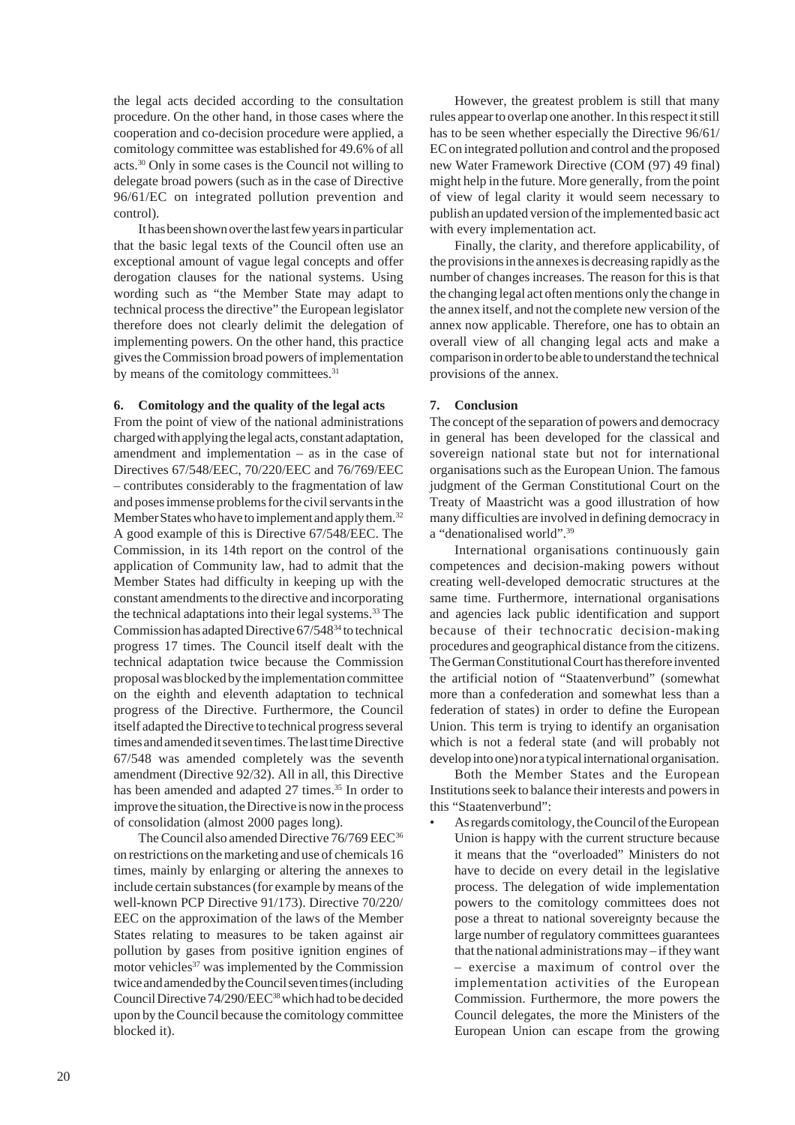the legal acts decided according to the consultation procedure. On the other hand, in those cases where the cooperation and co-decision procedure were applied, a comitology committee was established for 49.6% of all acts.30 Only in some cases is the Council not willing to delegate broad powers (such as in the case of Directive 96/61/EC on integrated pollution prevention and control).

It has been shown over the last few years in particular that the basic legal texts of the Council often use an exceptional amount of vague legal concepts and offer derogation clauses for the national systems. Using wording such as "the Member State may adapt to technical process the directive" the European legislator therefore does not clearly delimit the delegation of implementing powers. On the other hand, this practice gives the Commission broad powers of implementation by means of the comitology committees.<sup>31</sup>

#### **6. Comitology and the quality of the legal acts**

From the point of view of the national administrations charged with applying the legal acts, constant adaptation, amendment and implementation – as in the case of Directives 67/548/EEC, 70/220/EEC and 76/769/EEC – contributes considerably to the fragmentation of law and poses immense problems for the civil servants in the Member States who have to implement and apply them.<sup>32</sup> A good example of this is Directive 67/548/EEC. The Commission, in its 14th report on the control of the application of Community law, had to admit that the Member States had difficulty in keeping up with the constant amendments to the directive and incorporating the technical adaptations into their legal systems.<sup>33</sup> The Commission has adapted Directive 67/54834 to technical progress 17 times. The Council itself dealt with the technical adaptation twice because the Commission proposal was blocked by the implementation committee on the eighth and eleventh adaptation to technical progress of the Directive. Furthermore, the Council itself adapted the Directive to technical progress several times and amended it seven times. The last time Directive 67/548 was amended completely was the seventh amendment (Directive 92/32). All in all, this Directive has been amended and adapted 27 times.<sup>35</sup> In order to improve the situation, the Directive is now in the process of consolidation (almost 2000 pages long).

The Council also amended Directive 76/769 EEC<sup>36</sup> on restrictions on the marketing and use of chemicals 16 times, mainly by enlarging or altering the annexes to include certain substances (for example by means of the well-known PCP Directive 91/173). Directive 70/220/ EEC on the approximation of the laws of the Member States relating to measures to be taken against air pollution by gases from positive ignition engines of motor vehicles<sup>37</sup> was implemented by the Commission twice and amended by the Council seven times (including Council Directive 74/290/EEC<sup>38</sup> which had to be decided upon by the Council because the comitology committee blocked it).

However, the greatest problem is still that many rules appear to overlap one another. In this respect it still has to be seen whether especially the Directive 96/61/ EC on integrated pollution and control and the proposed new Water Framework Directive (COM (97) 49 final) might help in the future. More generally, from the point of view of legal clarity it would seem necessary to publish an updated version of the implemented basic act with every implementation act.

Finally, the clarity, and therefore applicability, of the provisions in the annexes is decreasing rapidly as the number of changes increases. The reason for this is that the changing legal act often mentions only the change in the annex itself, and not the complete new version of the annex now applicable. Therefore, one has to obtain an overall view of all changing legal acts and make a comparison in order to be able to understand the technical provisions of the annex.

#### **7. Conclusion**

The concept of the separation of powers and democracy in general has been developed for the classical and sovereign national state but not for international organisations such as the European Union. The famous judgment of the German Constitutional Court on the Treaty of Maastricht was a good illustration of how many difficulties are involved in defining democracy in a "denationalised world".39

International organisations continuously gain competences and decision-making powers without creating well-developed democratic structures at the same time. Furthermore, international organisations and agencies lack public identification and support because of their technocratic decision-making procedures and geographical distance from the citizens. The German Constitutional Court has therefore invented the artificial notion of "Staatenverbund" (somewhat more than a confederation and somewhat less than a federation of states) in order to define the European Union. This term is trying to identify an organisation which is not a federal state (and will probably not develop into one) nor a typical international organisation.

Both the Member States and the European Institutions seek to balance their interests and powers in this "Staatenverbund":

As regards comitology, the Council of the European Union is happy with the current structure because it means that the "overloaded" Ministers do not have to decide on every detail in the legislative process. The delegation of wide implementation powers to the comitology committees does not pose a threat to national sovereignty because the large number of regulatory committees guarantees that the national administrations may – if they want – exercise a maximum of control over the implementation activities of the European Commission. Furthermore, the more powers the Council delegates, the more the Ministers of the European Union can escape from the growing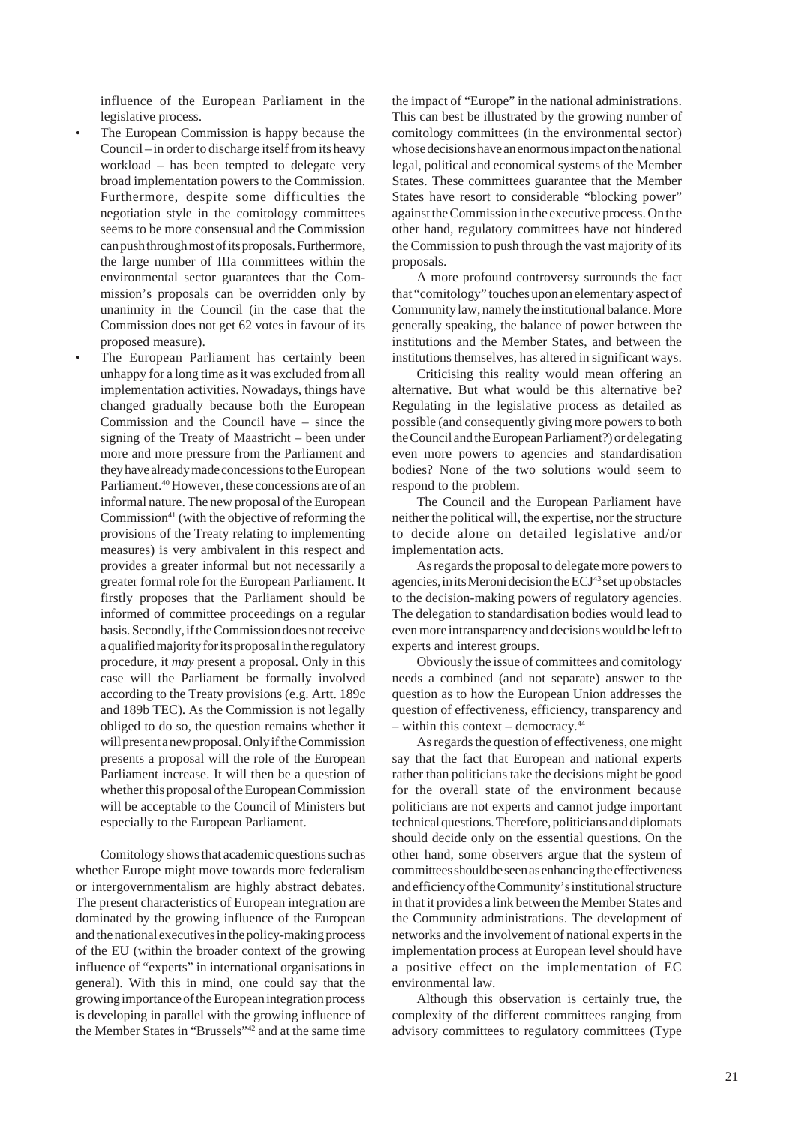influence of the European Parliament in the legislative process.

- The European Commission is happy because the Council – in order to discharge itself from its heavy workload – has been tempted to delegate very broad implementation powers to the Commission. Furthermore, despite some difficulties the negotiation style in the comitology committees seems to be more consensual and the Commission can push through most of its proposals. Furthermore, the large number of IIIa committees within the environmental sector guarantees that the Commission's proposals can be overridden only by unanimity in the Council (in the case that the Commission does not get 62 votes in favour of its proposed measure).
- The European Parliament has certainly been unhappy for a long time as it was excluded from all implementation activities. Nowadays, things have changed gradually because both the European Commission and the Council have – since the signing of the Treaty of Maastricht – been under more and more pressure from the Parliament and they have already made concessions to the European Parliament.<sup>40</sup> However, these concessions are of an informal nature. The new proposal of the European Commission $41$  (with the objective of reforming the provisions of the Treaty relating to implementing measures) is very ambivalent in this respect and provides a greater informal but not necessarily a greater formal role for the European Parliament. It firstly proposes that the Parliament should be informed of committee proceedings on a regular basis. Secondly, if the Commission does not receive a qualified majority for its proposal in the regulatory procedure, it *may* present a proposal. Only in this case will the Parliament be formally involved according to the Treaty provisions (e.g. Artt. 189c and 189b TEC). As the Commission is not legally obliged to do so, the question remains whether it will present a new proposal. Only if the Commission presents a proposal will the role of the European Parliament increase. It will then be a question of whether this proposal of the European Commission will be acceptable to the Council of Ministers but especially to the European Parliament.

Comitology shows that academic questions such as whether Europe might move towards more federalism or intergovernmentalism are highly abstract debates. The present characteristics of European integration are dominated by the growing influence of the European and the national executives in the policy-making process of the EU (within the broader context of the growing influence of "experts" in international organisations in general). With this in mind, one could say that the growing importance of the European integration process is developing in parallel with the growing influence of the Member States in "Brussels"42 and at the same time

the impact of "Europe" in the national administrations. This can best be illustrated by the growing number of comitology committees (in the environmental sector) whose decisions have an enormous impact on the national legal, political and economical systems of the Member States. These committees guarantee that the Member States have resort to considerable "blocking power" against the Commission in the executive process. On the other hand, regulatory committees have not hindered the Commission to push through the vast majority of its proposals.

A more profound controversy surrounds the fact that "comitology" touches upon an elementary aspect of Community law, namely the institutional balance. More generally speaking, the balance of power between the institutions and the Member States, and between the institutions themselves, has altered in significant ways.

Criticising this reality would mean offering an alternative. But what would be this alternative be? Regulating in the legislative process as detailed as possible (and consequently giving more powers to both the Council and the European Parliament?) or delegating even more powers to agencies and standardisation bodies? None of the two solutions would seem to respond to the problem.

The Council and the European Parliament have neither the political will, the expertise, nor the structure to decide alone on detailed legislative and/or implementation acts.

As regards the proposal to delegate more powers to agencies, in its Meroni decision the ECJ<sup>43</sup> set up obstacles to the decision-making powers of regulatory agencies. The delegation to standardisation bodies would lead to even more intransparency and decisions would be left to experts and interest groups.

Obviously the issue of committees and comitology needs a combined (and not separate) answer to the question as to how the European Union addresses the question of effectiveness, efficiency, transparency and – within this context – democracy.44

As regards the question of effectiveness, one might say that the fact that European and national experts rather than politicians take the decisions might be good for the overall state of the environment because politicians are not experts and cannot judge important technical questions. Therefore, politicians and diplomats should decide only on the essential questions. On the other hand, some observers argue that the system of committees should be seen as enhancing the effectiveness and efficiency of the Community's institutional structure in that it provides a link between the Member States and the Community administrations. The development of networks and the involvement of national experts in the implementation process at European level should have a positive effect on the implementation of EC environmental law.

Although this observation is certainly true, the complexity of the different committees ranging from advisory committees to regulatory committees (Type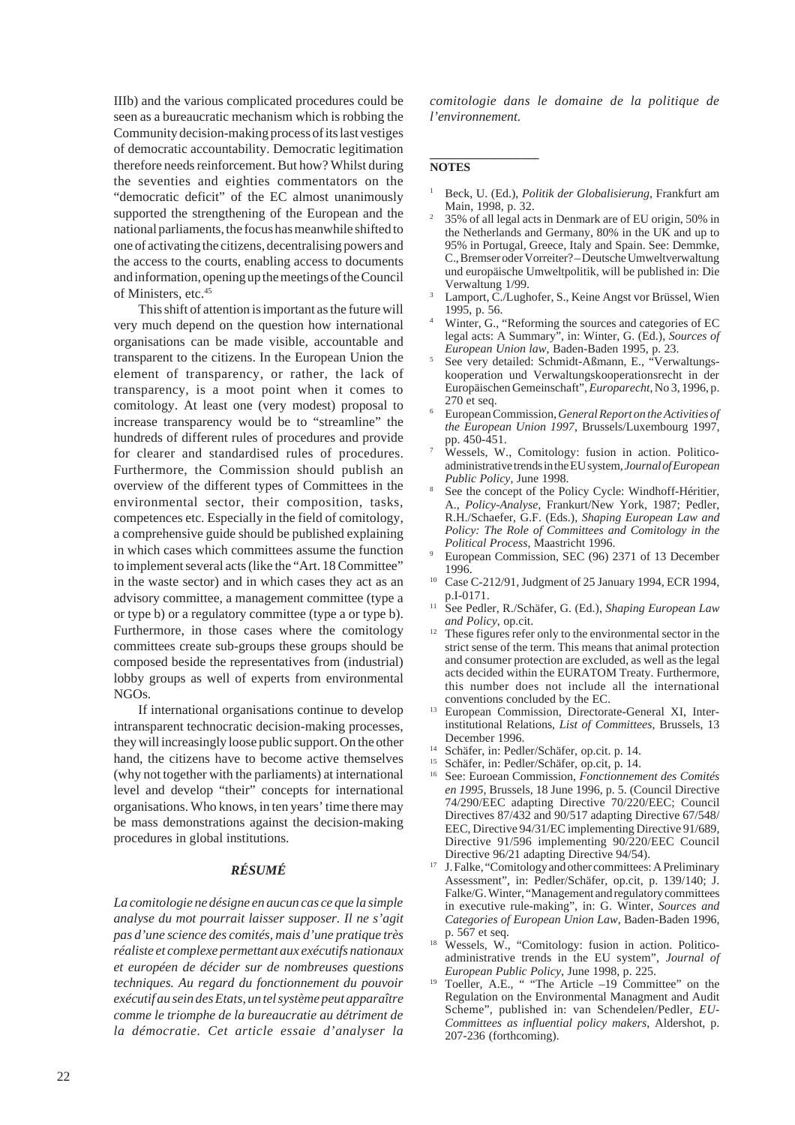IIIb) and the various complicated procedures could be seen as a bureaucratic mechanism which is robbing the Community decision-making process of its last vestiges of democratic accountability. Democratic legitimation therefore needs reinforcement. But how? Whilst during the seventies and eighties commentators on the "democratic deficit" of the EC almost unanimously supported the strengthening of the European and the national parliaments, the focus has meanwhile shifted to one of activating the citizens, decentralising powers and the access to the courts, enabling access to documents and information, opening up the meetings of the Council of Ministers, etc.45

This shift of attention is important as the future will very much depend on the question how international organisations can be made visible, accountable and transparent to the citizens. In the European Union the element of transparency, or rather, the lack of transparency, is a moot point when it comes to comitology. At least one (very modest) proposal to increase transparency would be to "streamline" the hundreds of different rules of procedures and provide for clearer and standardised rules of procedures. Furthermore, the Commission should publish an overview of the different types of Committees in the environmental sector, their composition, tasks, competences etc. Especially in the field of comitology, a comprehensive guide should be published explaining in which cases which committees assume the function to implement several acts (like the "Art. 18 Committee" in the waste sector) and in which cases they act as an advisory committee, a management committee (type a or type b) or a regulatory committee (type a or type b). Furthermore, in those cases where the comitology committees create sub-groups these groups should be composed beside the representatives from (industrial) lobby groups as well of experts from environmental NGOs.

If international organisations continue to develop intransparent technocratic decision-making processes, they will increasingly loose public support. On the other hand, the citizens have to become active themselves (why not together with the parliaments) at international level and develop "their" concepts for international organisations. Who knows, in ten years' time there may be mass demonstrations against the decision-making procedures in global institutions.

#### *RÉSUMÉ*

*La comitologie ne désigne en aucun cas ce que la simple analyse du mot pourrait laisser supposer. Il ne s'agit pas d'une science des comités, mais d'une pratique très réaliste et complexe permettant aux exécutifs nationaux et européen de décider sur de nombreuses questions techniques. Au regard du fonctionnement du pouvoir exécutif au sein des Etats, un tel système peut apparaître comme le triomphe de la bureaucratie au détriment de la démocratie. Cet article essaie d'analyser la* *comitologie dans le domaine de la politique de l'environnement.*

#### **\_\_\_\_\_\_\_\_\_\_\_\_\_\_\_\_\_\_ NOTES**

- <sup>1</sup> Beck, U. (Ed.), *Politik der Globalisierung*, Frankfurt am Main, 1998, p. 32.
- <sup>2</sup> 35% of all legal acts in Denmark are of EU origin, 50% in the Netherlands and Germany, 80% in the UK and up to 95% in Portugal, Greece, Italy and Spain. See: Demmke, C., Bremser oder Vorreiter? – Deutsche Umweltverwaltung und europäische Umweltpolitik, will be published in: Die Verwaltung 1/99.
- Lamport, C./Lughofer, S., Keine Angst vor Brüssel, Wien 1995, p. 56.
- <sup>4</sup> Winter, G., "Reforming the sources and categories of EC legal acts: A Summary", in: Winter, G. (Ed.), *Sources of European Union law*, Baden-Baden 1995, p. 23.
- <sup>5</sup> See very detailed: Schmidt-Aßmann, E., "Verwaltungskooperation und Verwaltungskooperationsrecht in der Europäischen Gemeinschaft", *Europarecht*, No 3, 1996, p. 270 et seq.
- <sup>6</sup> European Commission, *General Report on the Activities of the European Union 1997*, Brussels/Luxembourg 1997, pp. 450-451.
- Wessels, W., Comitology: fusion in action. Politicoadministrative trends in the EU system, *Journal of European Public Policy*, June 1998.
- See the concept of the Policy Cycle: Windhoff-Héritier, A., *Policy-Analyse*, Frankurt/New York, 1987; Pedler, R.H./Schaefer, G.F. (Eds.), *Shaping European Law and Policy: The Role of Committees and Comitology in the Political Process*, Maastricht 1996.
- <sup>9</sup> European Commission, SEC (96) 2371 of 13 December 1996.
- <sup>10</sup> Case C-212/91, Judgment of 25 January 1994, ECR 1994, p.I-0171.
- <sup>11</sup> See Pedler, R./Schäfer, G. (Ed.), *Shaping European Law and Policy*, op.cit.
- $12$  These figures refer only to the environmental sector in the strict sense of the term. This means that animal protection and consumer protection are excluded, as well as the legal acts decided within the EURATOM Treaty. Furthermore, this number does not include all the international conventions concluded by the EC.
- <sup>13</sup> European Commission, Directorate-General XI, Interinstitutional Relations*, List of Committees*, Brussels, 13 December 1996.
- <sup>14</sup> Schäfer, in: Pedler/Schäfer, op.cit. p. 14.
- <sup>15</sup> Schäfer, in: Pedler/Schäfer, op.cit, p. 14.
- <sup>16</sup> See: Euroean Commission, *Fonctionnement des Comités en 1995*, Brussels, 18 June 1996, p. 5. (Council Directive 74/290/EEC adapting Directive 70/220/EEC; Council Directives 87/432 and 90/517 adapting Directive 67/548/ EEC, Directive 94/31/EC implementing Directive 91/689, Directive 91/596 implementing 90/220/EEC Council Directive 96/21 adapting Directive 94/54).
- <sup>17</sup> J. Falke, "Comitology and other committees: A Preliminary Assessment", in: Pedler/Schäfer, op.cit, p. 139/140; J. Falke/G. Winter, "Management and regulatory committees in executive rule-making", in: G. Winter, *Sources and Categories of European Union Law*, Baden-Baden 1996, p. 567 et seq.
- <sup>18</sup> Wessels, W., "Comitology: fusion in action. Politicoadministrative trends in the EU system", *Journal of European Public Policy*, June 1998, p. 225.
- <sup>19</sup> Toeller, A.E., " "The Article –19 Committee" on the Regulation on the Environmental Managment and Audit Scheme", published in: van Schendelen/Pedler, *EU-Committees as influential policy makers*, Aldershot, p. 207-236 (forthcoming).